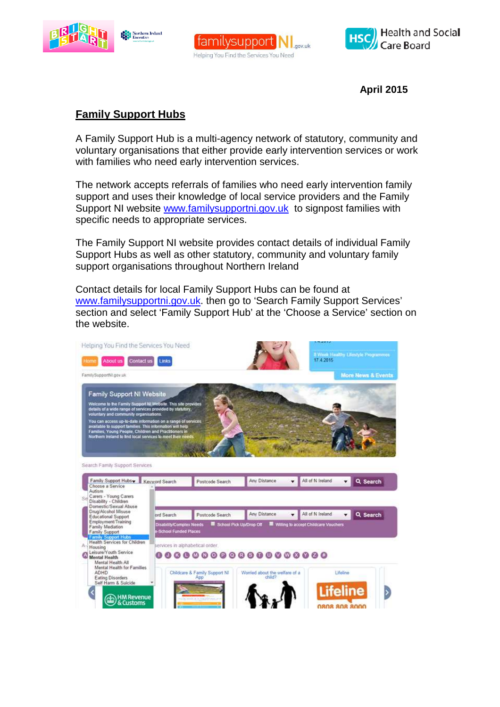





**April 2015** 

## **Family Support Hubs**

A Family Support Hub is a multi-agency network of statutory, community and voluntary organisations that either provide early intervention services or work with families who need early intervention services.

The network accepts referrals of families who need early intervention family support and uses their knowledge of local service providers and the Family Support NI website www.familysupportni.gov.uk to signpost families with specific needs to appropriate services.

The Family Support NI website provides contact details of individual Family Support Hubs as well as other statutory, community and voluntary family support organisations throughout Northern Ireland

Contact details for local Family Support Hubs can be found at www.familysupportni.gov.uk. then go to 'Search Family Support Services' section and select 'Family Support Hub' at the 'Choose a Service' section on the website.